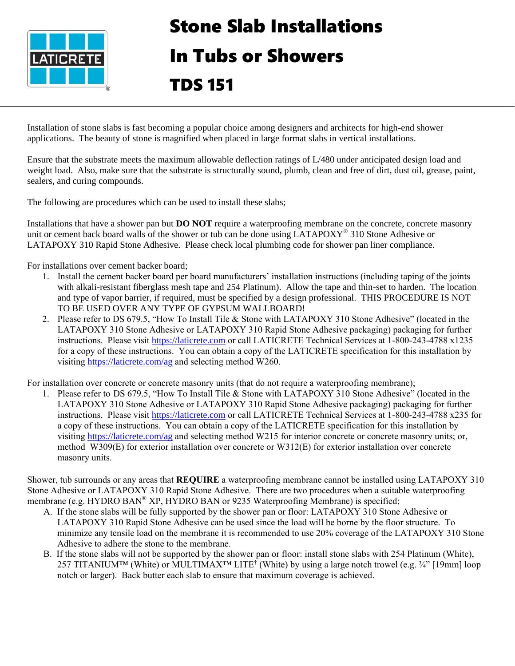

## Stone Slab Installations

## In Tubs or Showers

TDS 151

Installation of stone slabs is fast becoming a popular choice among designers and architects for high-end shower applications. The beauty of stone is magnified when placed in large format slabs in vertical installations.

Ensure that the substrate meets the maximum allowable deflection ratings of L/480 under anticipated design load and weight load. Also, make sure that the substrate is structurally sound, plumb, clean and free of dirt, dust oil, grease, paint, sealers, and curing compounds.

The following are procedures which can be used to install these slabs;

Installations that have a shower pan but **DO NOT** require a waterproofing membrane on the concrete, concrete masonry unit or cement back board walls of the shower or tub can be done using LATAPOXY® 310 Stone Adhesive or LATAPOXY 310 Rapid Stone Adhesive. Please check local plumbing code for shower pan liner compliance.

For installations over cement backer board;

- 1. Install the cement backer board per board manufacturers' installation instructions (including taping of the joints with alkali-resistant fiberglass mesh tape and 254 Platinum). Allow the tape and thin-set to harden. The location and type of vapor barrier, if required, must be specified by a design professional. THIS PROCEDURE IS NOT TO BE USED OVER ANY TYPE OF GYPSUM WALLBOARD!
- 2. Please refer to DS 679.5, "How To Install Tile & Stone with LATAPOXY 310 Stone Adhesive" (located in the LATAPOXY 310 Stone Adhesive or LATAPOXY 310 Rapid Stone Adhesive packaging) packaging for further instructions. Please visit [https://laticrete.com](https://laticrete.com/) or call LATICRETE Technical Services at 1-800-243-4788 x1235 for a copy of these instructions. You can obtain a copy of the LATICRETE specification for this installation by visiting <https://laticrete.com/ag> and selecting method W260.

For installation over concrete or concrete masonry units (that do not require a waterproofing membrane);

1. Please refer to DS 679.5, "How To Install Tile & Stone with LATAPOXY 310 Stone Adhesive" (located in the LATAPOXY 310 Stone Adhesive or LATAPOXY 310 Rapid Stone Adhesive packaging) packaging for further instructions. Please visit [https://laticrete.com](https://laticrete.com/) or call LATICRETE Technical Services at 1-800-243-4788 x235 for a copy of these instructions. You can obtain a copy of the LATICRETE specification for this installation by visiting <https://laticrete.com/ag> and selecting method W215 for interior concrete or concrete masonry units; or, method W309(E) for exterior installation over concrete or W312(E) for exterior installation over concrete masonry units.

Shower, tub surrounds or any areas that **REQUIRE** a waterproofing membrane cannot be installed using LATAPOXY 310 Stone Adhesive or LATAPOXY 310 Rapid Stone Adhesive. There are two procedures when a suitable waterproofing membrane (e.g. HYDRO BAN® XP, HYDRO BAN or 9235 Waterproofing Membrane) is specified;

- A. If the stone slabs will be fully supported by the shower pan or floor: LATAPOXY 310 Stone Adhesive or LATAPOXY 310 Rapid Stone Adhesive can be used since the load will be borne by the floor structure. To minimize any tensile load on the membrane it is recommended to use 20% coverage of the LATAPOXY 310 Stone Adhesive to adhere the stone to the membrane.
- B. If the stone slabs will not be supported by the shower pan or floor: install stone slabs with 254 Platinum (White), 257 TITANIUM<sup>TM</sup> (White) or MULTIMAX<sup>TM</sup> LITE<sup>†</sup> (White) by using a large notch trowel (e.g.  $\frac{3}{4}$ " [19mm] loop notch or larger). Back butter each slab to ensure that maximum coverage is achieved.